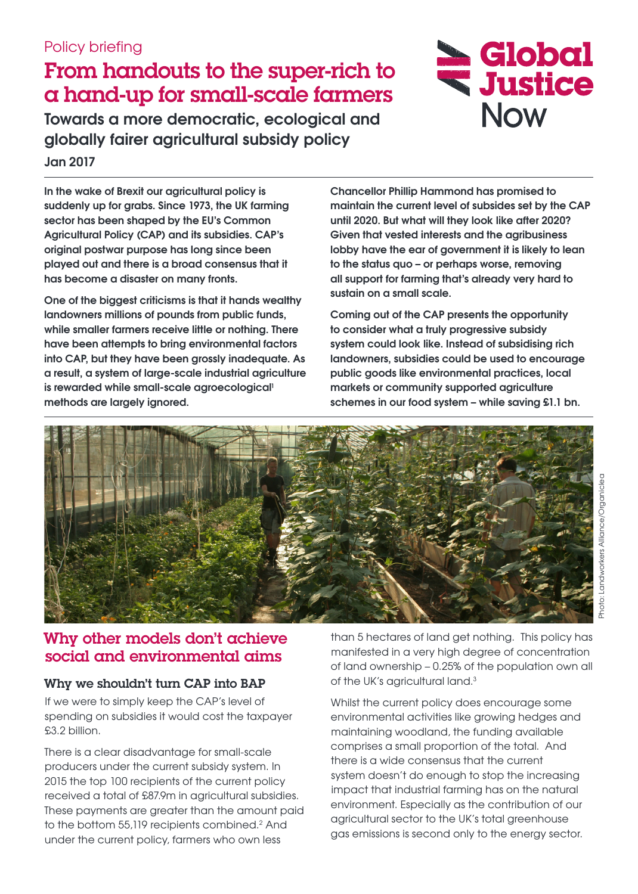## Policy briefing

# From handouts to the super-rich to a hand-up for small-scale farmers

**Towards a more democratic, ecological and globally fairer agricultural subsidy policy Jan 2017**

**In the wake of Brexit our agricultural policy is suddenly up for grabs. Since 1973, the UK farming sector has been shaped by the EU's Common Agricultural Policy (CAP) and its subsidies. CAP's original postwar purpose has long since been played out and there is a broad consensus that it has become a disaster on many fronts.** 

**One of the biggest criticisms is that it hands wealthy landowners millions of pounds from public funds, while smaller farmers receive little or nothing. There have been attempts to bring environmental factors into CAP, but they have been grossly inadequate. As a result, a system of large-scale industrial agriculture**  is rewarded while small-scale agroecological<sup>1</sup> **methods are largely ignored.** 

**Chancellor Phillip Hammond has promised to maintain the current level of subsides set by the CAP until 2020. But what will they look like after 2020? Given that vested interests and the agribusiness lobby have the ear of government it is likely to lean to the status quo – or perhaps worse, removing all support for farming that's already very hard to sustain on a small scale.** 

Global

**WE Justice** 

**Now** 

**Coming out of the CAP presents the opportunity to consider what a truly progressive subsidy system could look like. Instead of subsidising rich landowners, subsidies could be used to encourage public goods like environmental practices, local markets or community supported agriculture schemes in our food system – while saving £1.1 bn.** 



# Why other models don't achieve social and environmental aims

#### Why we shouldn't turn CAP into BAP

If we were to simply keep the CAP's level of spending on subsidies it would cost the taxpayer £3.2 billion.

There is a clear disadvantage for small-scale producers under the current subsidy system. In 2015 the top 100 recipients of the current policy received a total of £87.9m in agricultural subsidies. These payments are greater than the amount paid to the bottom 55,119 recipients combined.<sup>2</sup> And under the current policy, farmers who own less

than 5 hectares of land get nothing. This policy has manifested in a very high degree of concentration of land ownership – 0.25% of the population own all of the UK's agricultural land.<sup>3</sup>

Whilst the current policy does encourage some environmental activities like growing hedges and maintaining woodland, the funding available comprises a small proportion of the total. And there is a wide consensus that the current system doesn't do enough to stop the increasing impact that industrial farming has on the natural environment. Especially as the contribution of our agricultural sector to the UK's total greenhouse gas emissions is second only to the energy sector.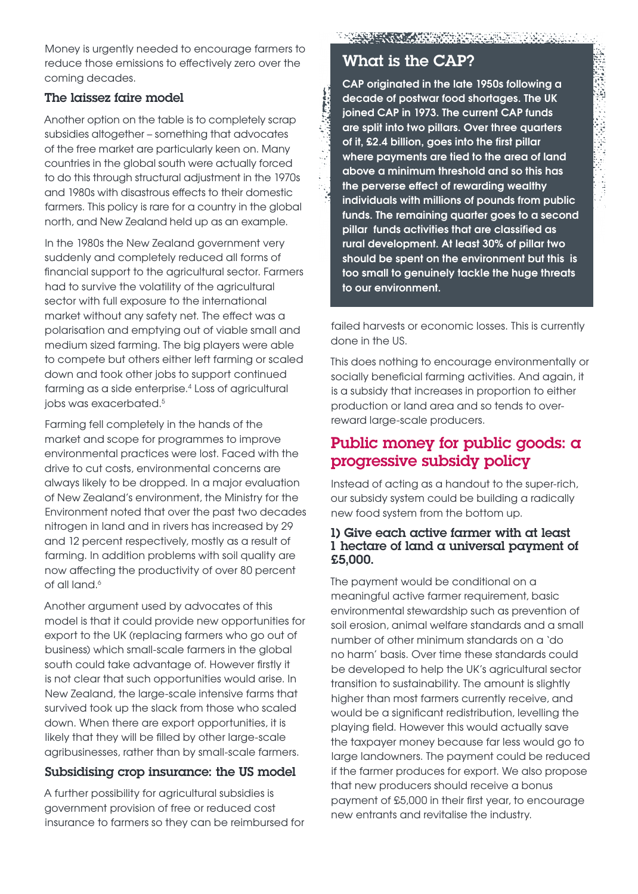Money is urgently needed to encourage farmers to reduce those emissions to effectively zero over the coming decades.

#### The laissez faire model

Another option on the table is to completely scrap subsidies altogether – something that advocates of the free market are particularly keen on. Many countries in the global south were actually forced to do this through structural adjustment in the 1970s and 1980s with disastrous effects to their domestic farmers. This policy is rare for a country in the global north, and New Zealand held up as an example.

In the 1980s the New Zealand government very suddenly and completely reduced all forms of financial support to the agricultural sector. Farmers had to survive the volatility of the agricultural sector with full exposure to the international market without any safety net. The effect was a polarisation and emptying out of viable small and medium sized farming. The big players were able to compete but others either left farming or scaled down and took other jobs to support continued farming as a side enterprise.<sup>4</sup> Loss of agricultural jobs was exacerbated.5

Farming fell completely in the hands of the market and scope for programmes to improve environmental practices were lost. Faced with the drive to cut costs, environmental concerns are always likely to be dropped. In a major evaluation of New Zealand's environment, the Ministry for the Environment noted that over the past two decades nitrogen in land and in rivers has increased by 29 and 12 percent respectively, mostly as a result of farming. In addition problems with soil quality are now affecting the productivity of over 80 percent of all land.<sup>6</sup>

Another argument used by advocates of this model is that it could provide new opportunities for export to the UK (replacing farmers who go out of business) which small-scale farmers in the global south could take advantage of. However firstly it is not clear that such opportunities would arise. In New Zealand, the large-scale intensive farms that survived took up the slack from those who scaled down. When there are export opportunities, it is likely that they will be filled by other large-scale agribusinesses, rather than by small-scale farmers.

#### Subsidising crop insurance: the US model

A further possibility for agricultural subsidies is government provision of free or reduced cost insurance to farmers so they can be reimbursed for

### What is the CAP?

**All Crescer** 

**CAP originated in the late 1950s following a decade of postwar food shortages. The UK joined CAP in 1973. The current CAP funds are split into two pillars. Over three quarters of it, £2.4 billion, goes into the first pillar where payments are tied to the area of land above a minimum threshold and so this has the perverse effect of rewarding wealthy individuals with millions of pounds from public funds. The remaining quarter goes to a second pillar funds activities that are classified as rural development. At least 30% of pillar two should be spent on the environment but this is too small to genuinely tackle the huge threats to our environment.**

failed harvests or economic losses. This is currently done in the US.

This does nothing to encourage environmentally or socially beneficial farming activities. And again, it is a subsidy that increases in proportion to either production or land area and so tends to overreward large-scale producers.

### Public money for public goods:  $\alpha$ progressive subsidy policy

Instead of acting as a handout to the super-rich, our subsidy system could be building a radically new food system from the bottom up.

#### 1) Give each active farmer with at least 1 hectare of land a universal payment of £5,000.

The payment would be conditional on a meaningful active farmer requirement, basic environmental stewardship such as prevention of soil erosion, animal welfare standards and a small number of other minimum standards on a 'do no harm' basis. Over time these standards could be developed to help the UK's agricultural sector transition to sustainability. The amount is slightly higher than most farmers currently receive, and would be a significant redistribution, levelling the playing field. However this would actually save the taxpayer money because far less would go to large landowners. The payment could be reduced if the farmer produces for export. We also propose that new producers should receive a bonus payment of £5,000 in their first year, to encourage new entrants and revitalise the industry.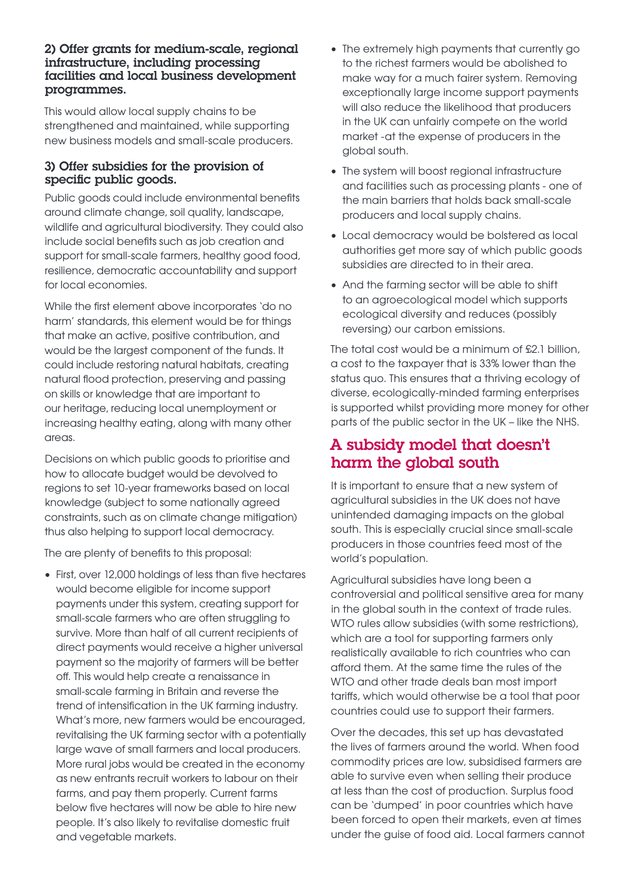#### 2) Offer grants for medium-scale, regional infrastructure, including processing facilities and local business development programmes.

This would allow local supply chains to be strengthened and maintained, while supporting new business models and small-scale producers.

#### 3) Offer subsidies for the provision of specific public goods.

Public goods could include environmental benefits around climate change, soil quality, landscape, wildlife and agricultural biodiversity. They could also include social benefits such as job creation and support for small-scale farmers, healthy good food, resilience, democratic accountability and support for local economies.

While the first element above incorporates 'do no harm' standards, this element would be for things that make an active, positive contribution, and would be the largest component of the funds. It could include restoring natural habitats, creating natural flood protection, preserving and passing on skills or knowledge that are important to our heritage, reducing local unemployment or increasing healthy eating, along with many other areas.

Decisions on which public goods to prioritise and how to allocate budget would be devolved to regions to set 10-year frameworks based on local knowledge (subject to some nationally agreed constraints, such as on climate change mitigation) thus also helping to support local democracy.

The are plenty of benefits to this proposal:

• First, over 12,000 holdings of less than five hectares would become eligible for income support payments under this system, creating support for small-scale farmers who are often struggling to survive. More than half of all current recipients of direct payments would receive a higher universal payment so the majority of farmers will be better off. This would help create a renaissance in small-scale farming in Britain and reverse the trend of intensification in the UK farming industry. What's more, new farmers would be encouraged, revitalising the UK farming sector with a potentially large wave of small farmers and local producers. More rural jobs would be created in the economy as new entrants recruit workers to labour on their farms, and pay them properly. Current farms below five hectares will now be able to hire new people. It's also likely to revitalise domestic fruit and vegetable markets.

- The extremely high payments that currently go to the richest farmers would be abolished to make way for a much fairer system. Removing exceptionally large income support payments will also reduce the likelihood that producers in the UK can unfairly compete on the world market -at the expense of producers in the global south.
- The system will boost regional infrastructure and facilities such as processing plants - one of the main barriers that holds back small-scale producers and local supply chains.
- Local democracy would be bolstered as local authorities get more say of which public goods subsidies are directed to in their area.
- And the farming sector will be able to shift to an agroecological model which supports ecological diversity and reduces (possibly reversing) our carbon emissions.

The total cost would be a minimum of £2.1 billion, a cost to the taxpayer that is 33% lower than the status quo. This ensures that a thriving ecology of diverse, ecologically-minded farming enterprises is supported whilst providing more money for other parts of the public sector in the UK – like the NHS.

## A subsidy model that doesn't harm the global south

It is important to ensure that a new system of agricultural subsidies in the UK does not have unintended damaging impacts on the global south. This is especially crucial since small-scale producers in those countries feed most of the world's population.

Agricultural subsidies have long been a controversial and political sensitive area for many in the global south in the context of trade rules. WTO rules allow subsidies (with some restrictions), which are a tool for supporting farmers only realistically available to rich countries who can afford them. At the same time the rules of the WTO and other trade deals ban most import tariffs, which would otherwise be a tool that poor countries could use to support their farmers.

Over the decades, this set up has devastated the lives of farmers around the world. When food commodity prices are low, subsidised farmers are able to survive even when selling their produce at less than the cost of production. Surplus food can be 'dumped' in poor countries which have been forced to open their markets, even at times under the guise of food aid. Local farmers cannot